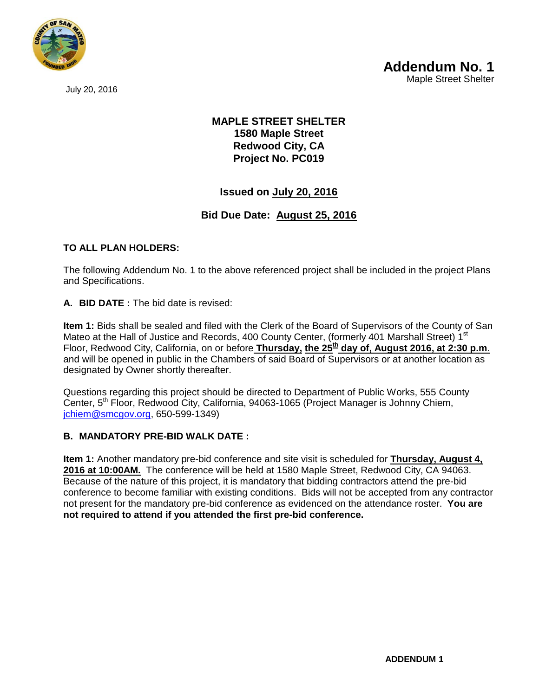

July 20, 2016

## **MAPLE STREET SHELTER 1580 Maple Street Redwood City, CA Project No. PC019**

# **Issued on July 20, 2016**

## **Bid Due Date: August 25, 2016**

### **TO ALL PLAN HOLDERS:**

The following Addendum No. 1 to the above referenced project shall be included in the project Plans and Specifications.

#### **A. BID DATE :** The bid date is revised:

**Item 1:** Bids shall be sealed and filed with the Clerk of the Board of Supervisors of the County of San Mateo at the Hall of Justice and Records, 400 County Center, (formerly 401 Marshall Street) 1<sup>st</sup> Floor, Redwood City, California, on or before **Thursday, the 25th day of, August 2016, at 2:30 p.m**. and will be opened in public in the Chambers of said Board of Supervisors or at another location as designated by Owner shortly thereafter.

Questions regarding this project should be directed to Department of Public Works, 555 County Center, 5<sup>th</sup> Floor, Redwood City, California, 94063-1065 (Project Manager is Johnny Chiem, [jchiem@smcgov.org,](mailto:jchiem@smcgov.org) 650-599-1349)

#### **B. MANDATORY PRE-BID WALK DATE :**

**Item 1:** Another mandatory pre-bid conference and site visit is scheduled for **Thursday, August 4, 2016 at 10:00AM.** The conference will be held at 1580 Maple Street, Redwood City, CA 94063. Because of the nature of this project, it is mandatory that bidding contractors attend the pre-bid conference to become familiar with existing conditions. Bids will not be accepted from any contractor not present for the mandatory pre-bid conference as evidenced on the attendance roster. **You are not required to attend if you attended the first pre-bid conference.**